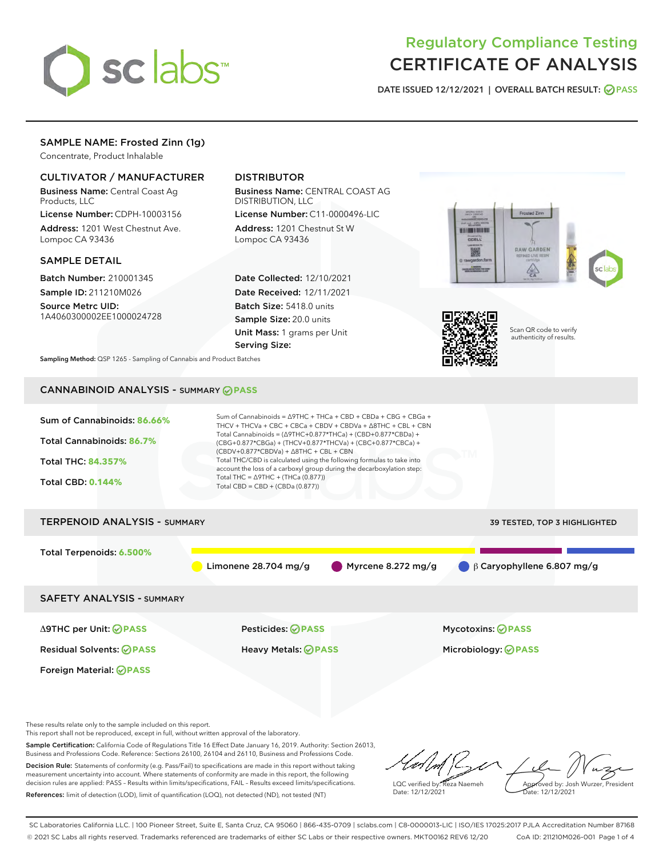

# Regulatory Compliance Testing CERTIFICATE OF ANALYSIS

DATE ISSUED 12/12/2021 | OVERALL BATCH RESULT: @ PASS

## SAMPLE NAME: Frosted Zinn (1g)

Concentrate, Product Inhalable

#### CULTIVATOR / MANUFACTURER

Business Name: Central Coast Ag Products, LLC

License Number: CDPH-10003156 Address: 1201 West Chestnut Ave. Lompoc CA 93436

#### SAMPLE DETAIL

Batch Number: 210001345 Sample ID: 211210M026

Source Metrc UID: 1A4060300002EE1000024728

### DISTRIBUTOR

Business Name: CENTRAL COAST AG DISTRIBUTION, LLC

License Number: C11-0000496-LIC Address: 1201 Chestnut St W Lompoc CA 93436

Date Collected: 12/10/2021 Date Received: 12/11/2021 Batch Size: 5418.0 units Sample Size: 20.0 units Unit Mass: 1 grams per Unit Serving Size:





Scan QR code to verify authenticity of results.

Sampling Method: QSP 1265 - Sampling of Cannabis and Product Batches

## CANNABINOID ANALYSIS - SUMMARY **PASS**



These results relate only to the sample included on this report.

This report shall not be reproduced, except in full, without written approval of the laboratory.

Sample Certification: California Code of Regulations Title 16 Effect Date January 16, 2019. Authority: Section 26013, Business and Professions Code. Reference: Sections 26100, 26104 and 26110, Business and Professions Code. Decision Rule: Statements of conformity (e.g. Pass/Fail) to specifications are made in this report without taking

measurement uncertainty into account. Where statements of conformity are made in this report, the following decision rules are applied: PASS – Results within limits/specifications, FAIL – Results exceed limits/specifications. References: limit of detection (LOD), limit of quantification (LOQ), not detected (ND), not tested (NT)

LQC verified by: Reza Naemeh Date: 12/12/2021 Approved by: Josh Wurzer, President Date: 12/12/2021

SC Laboratories California LLC. | 100 Pioneer Street, Suite E, Santa Cruz, CA 95060 | 866-435-0709 | sclabs.com | C8-0000013-LIC | ISO/IES 17025:2017 PJLA Accreditation Number 87168 © 2021 SC Labs all rights reserved. Trademarks referenced are trademarks of either SC Labs or their respective owners. MKT00162 REV6 12/20 CoA ID: 211210M026-001 Page 1 of 4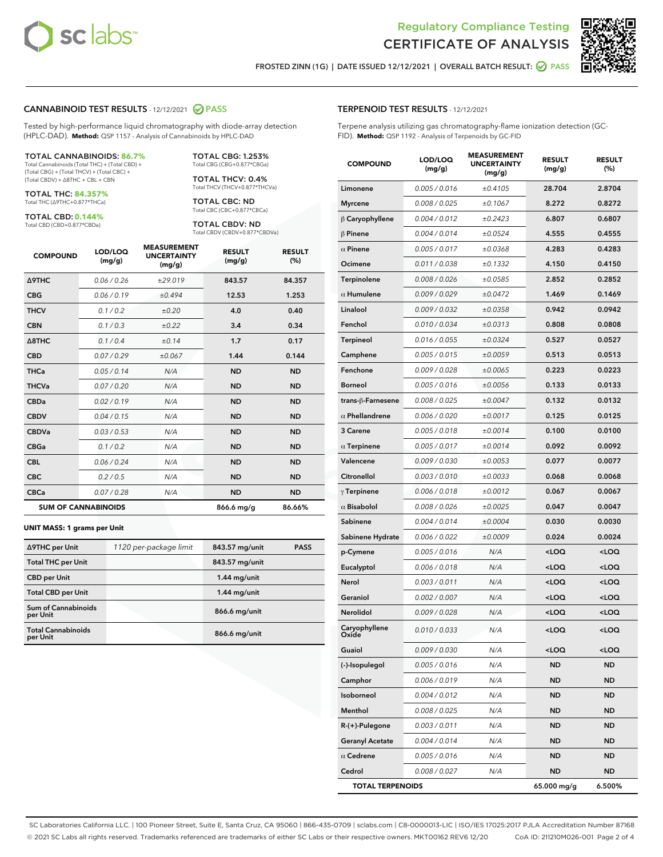

Terpene analysis utilizing gas chromatography-flame ionization detection (GC-



FROSTED ZINN (1G) | DATE ISSUED 12/12/2021 | OVERALL BATCH RESULT: @ PASS

TERPENOID TEST RESULTS - 12/12/2021

FID). **Method:** QSP 1192 - Analysis of Terpenoids by GC-FID

#### CANNABINOID TEST RESULTS - 12/12/2021 2 PASS

Tested by high-performance liquid chromatography with diode-array detection (HPLC-DAD). **Method:** QSP 1157 - Analysis of Cannabinoids by HPLC-DAD

#### TOTAL CANNABINOIDS: **86.7%**

Total Cannabinoids (Total THC) + (Total CBD) + (Total CBG) + (Total THCV) + (Total CBC) + (Total CBDV) + ∆8THC + CBL + CBN

TOTAL THC: **84.357%** Total THC (∆9THC+0.877\*THCa)

TOTAL CBD: **0.144%**

Total CBD (CBD+0.877\*CBDa)

TOTAL CBG: 1.253% Total CBG (CBG+0.877\*CBGa)

TOTAL THCV: 0.4% Total THCV (THCV+0.877\*THCVa)

TOTAL CBC: ND Total CBC (CBC+0.877\*CBCa)

TOTAL CBDV: ND Total CBDV (CBDV+0.877\*CBDVa)

| <b>COMPOUND</b>            | LOD/LOQ<br>(mg/g) | <b>MEASUREMENT</b><br><b>UNCERTAINTY</b><br>(mg/g) | <b>RESULT</b><br>(mg/g) | <b>RESULT</b><br>(%) |
|----------------------------|-------------------|----------------------------------------------------|-------------------------|----------------------|
| <b>A9THC</b>               | 0.06/0.26         | ±29.019                                            | 843.57                  | 84.357               |
| <b>CBG</b>                 | 0.06/0.19         | ±0.494                                             | 12.53                   | 1.253                |
| <b>THCV</b>                | 0.1/0.2           | ±0.20                                              | 4.0                     | 0.40                 |
| <b>CBN</b>                 | 0.1/0.3           | ±0.22                                              | 3.4                     | 0.34                 |
| $\triangle$ 8THC           | 0.1/0.4           | ±0.14                                              | 1.7                     | 0.17                 |
| <b>CBD</b>                 | 0.07/0.29         | ±0.067                                             | 1.44                    | 0.144                |
| <b>THCa</b>                | 0.05/0.14         | N/A                                                | <b>ND</b>               | <b>ND</b>            |
| <b>THCVa</b>               | 0.07/0.20         | N/A                                                | <b>ND</b>               | <b>ND</b>            |
| <b>CBDa</b>                | 0.02/0.19         | N/A                                                | <b>ND</b>               | <b>ND</b>            |
| <b>CBDV</b>                | 0.04/0.15         | N/A                                                | <b>ND</b>               | <b>ND</b>            |
| <b>CBDVa</b>               | 0.03 / 0.53       | N/A                                                | <b>ND</b>               | <b>ND</b>            |
| <b>CBGa</b>                | 0.1 / 0.2         | N/A                                                | <b>ND</b>               | <b>ND</b>            |
| <b>CBL</b>                 | 0.06 / 0.24       | N/A                                                | <b>ND</b>               | <b>ND</b>            |
| <b>CBC</b>                 | 0.2 / 0.5         | N/A                                                | <b>ND</b>               | <b>ND</b>            |
| <b>CBCa</b>                | 0.07/0.28         | N/A                                                | <b>ND</b>               | <b>ND</b>            |
| <b>SUM OF CANNABINOIDS</b> |                   |                                                    | 866.6 mg/g              | 86.66%               |

#### **UNIT MASS: 1 grams per Unit**

| ∆9THC per Unit                        | 1120 per-package limit | 843.57 mg/unit | <b>PASS</b> |
|---------------------------------------|------------------------|----------------|-------------|
| <b>Total THC per Unit</b>             |                        | 843.57 mg/unit |             |
| <b>CBD</b> per Unit                   |                        | $1.44$ mg/unit |             |
| <b>Total CBD per Unit</b>             |                        | $1.44$ mg/unit |             |
| Sum of Cannabinoids<br>per Unit       |                        | 866.6 mg/unit  |             |
| <b>Total Cannabinoids</b><br>per Unit |                        | 866.6 mg/unit  |             |

| <b>COMPOUND</b>         | LOD/LOQ<br>(mg/g) | <b>MEASUREMENT</b><br><b>UNCERTAINTY</b><br>(mg/g) | <b>RESULT</b><br>(mg/g)                         | <b>RESULT</b><br>$(\%)$ |
|-------------------------|-------------------|----------------------------------------------------|-------------------------------------------------|-------------------------|
| Limonene                | 0.005 / 0.016     | ±0.4105                                            | 28.704                                          | 2.8704                  |
| <b>Myrcene</b>          | 0.008 / 0.025     | ±0.1067                                            | 8.272                                           | 0.8272                  |
| $\beta$ Caryophyllene   | 0.004 / 0.012     | ±0.2423                                            | 6.807                                           | 0.6807                  |
| $\beta$ Pinene          | 0.004 / 0.014     | ±0.0524                                            | 4.555                                           | 0.4555                  |
| $\alpha$ Pinene         | 0.005 / 0.017     | ±0.0368                                            | 4.283                                           | 0.4283                  |
| Ocimene                 | 0.011 / 0.038     | ±0.1332                                            | 4.150                                           | 0.4150                  |
| Terpinolene             | 0.008 / 0.026     | ±0.0585                                            | 2.852                                           | 0.2852                  |
| $\alpha$ Humulene       | 0.009 / 0.029     | ±0.0472                                            | 1.469                                           | 0.1469                  |
| Linalool                | 0.009 / 0.032     | ±0.0358                                            | 0.942                                           | 0.0942                  |
| Fenchol                 | 0.010 / 0.034     | ±0.0313                                            | 0.808                                           | 0.0808                  |
| Terpineol               | 0.016 / 0.055     | ±0.0324                                            | 0.527                                           | 0.0527                  |
| Camphene                | 0.005 / 0.015     | ±0.0059                                            | 0.513                                           | 0.0513                  |
| Fenchone                | 0.009 / 0.028     | ±0.0065                                            | 0.223                                           | 0.0223                  |
| <b>Borneol</b>          | 0.005 / 0.016     | ±0.0056                                            | 0.133                                           | 0.0133                  |
| trans-ß-Farnesene       | 0.008 / 0.025     | ±0.0047                                            | 0.132                                           | 0.0132                  |
| $\alpha$ Phellandrene   | 0.006 / 0.020     | ±0.0017                                            | 0.125                                           | 0.0125                  |
| 3 Carene                | 0.005 / 0.018     | ±0.0014                                            | 0.100                                           | 0.0100                  |
| $\alpha$ Terpinene      | 0.005 / 0.017     | ±0.0014                                            | 0.092                                           | 0.0092                  |
| Valencene               | 0.009 / 0.030     | ±0.0053                                            | 0.077                                           | 0.0077                  |
| Citronellol             | 0.003 / 0.010     | ±0.0033                                            | 0.068                                           | 0.0068                  |
| $\gamma$ Terpinene      | 0.006 / 0.018     | ±0.0012                                            | 0.067                                           | 0.0067                  |
| $\alpha$ Bisabolol      | 0.008 / 0.026     | ±0.0025                                            | 0.047                                           | 0.0047                  |
| Sabinene                | 0.004 / 0.014     | ±0.0004                                            | 0.030                                           | 0.0030                  |
| Sabinene Hydrate        | 0.006 / 0.022     | ±0.0009                                            | 0.024                                           | 0.0024                  |
| p-Cymene                | 0.005 / 0.016     | N/A                                                | <loq< th=""><th><loq< th=""></loq<></th></loq<> | <loq< th=""></loq<>     |
| Eucalyptol              | 0.006 / 0.018     | N/A                                                | <loq< th=""><th><loq< th=""></loq<></th></loq<> | <loq< th=""></loq<>     |
| Nerol                   | 0.003 / 0.011     | N/A                                                | <loq< th=""><th><loq< th=""></loq<></th></loq<> | <loq< th=""></loq<>     |
| Geraniol                | 0.002 / 0.007     | N/A                                                | <loq< th=""><th><loq< th=""></loq<></th></loq<> | <loq< th=""></loq<>     |
| Nerolidol               | 0.009 / 0.028     | N/A                                                | <loq< th=""><th><loq< th=""></loq<></th></loq<> | <loq< th=""></loq<>     |
| Caryophyllene<br>Oxide  | 0.010 / 0.033     | N/A                                                | <loq< th=""><th><loq< th=""></loq<></th></loq<> | <loq< th=""></loq<>     |
| Guaiol                  | 0.009 / 0.030     | N/A                                                | 100                                             | $<$ LOQ                 |
| (-)-Isopulegol          | 0.005 / 0.016     | N/A                                                | ND                                              | ND                      |
| Camphor                 | 0.006 / 0.019     | N/A                                                | ND                                              | ND                      |
| Isoborneol              | 0.004 / 0.012     | N/A                                                | ND                                              | ND                      |
| Menthol                 | 0.008 / 0.025     | N/A                                                | ND                                              | <b>ND</b>               |
| $R-(+)$ -Pulegone       | 0.003 / 0.011     | N/A                                                | ND                                              | ND                      |
| <b>Geranyl Acetate</b>  | 0.004 / 0.014     | N/A                                                | ND                                              | ND                      |
| $\alpha$ Cedrene        | 0.005 / 0.016     | N/A                                                | ND                                              | ND                      |
| Cedrol                  | 0.008 / 0.027     | N/A                                                | ND                                              | ND                      |
| <b>TOTAL TERPENOIDS</b> |                   |                                                    | 65.000 mg/g                                     | 6.500%                  |

SC Laboratories California LLC. | 100 Pioneer Street, Suite E, Santa Cruz, CA 95060 | 866-435-0709 | sclabs.com | C8-0000013-LIC | ISO/IES 17025:2017 PJLA Accreditation Number 87168 © 2021 SC Labs all rights reserved. Trademarks referenced are trademarks of either SC Labs or their respective owners. MKT00162 REV6 12/20 CoA ID: 211210M026-001 Page 2 of 4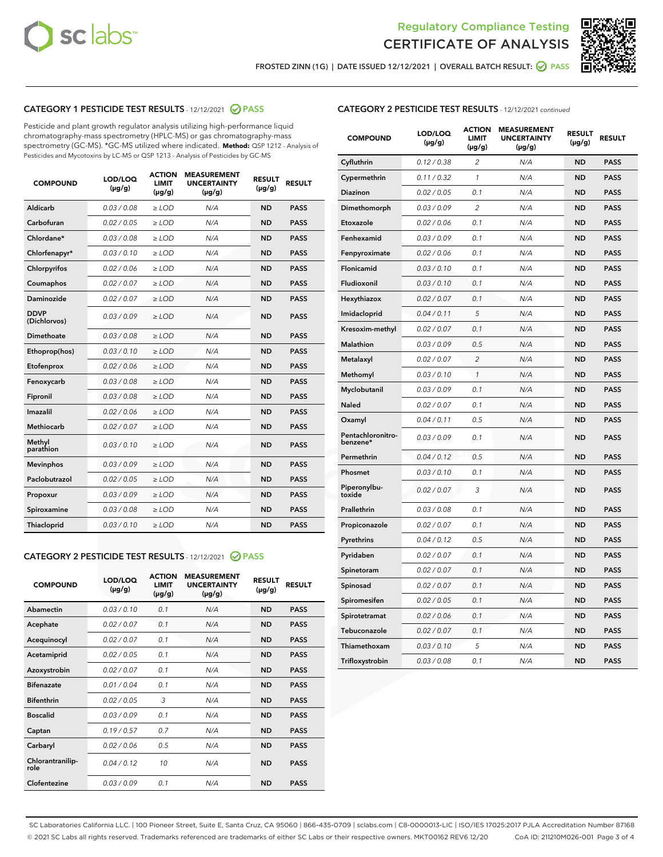



FROSTED ZINN (1G) | DATE ISSUED 12/12/2021 | OVERALL BATCH RESULT:  $\bigcirc$  PASS

#### CATEGORY 1 PESTICIDE TEST RESULTS - 12/12/2021 2 PASS

Pesticide and plant growth regulator analysis utilizing high-performance liquid chromatography-mass spectrometry (HPLC-MS) or gas chromatography-mass spectrometry (GC-MS). \*GC-MS utilized where indicated. **Method:** QSP 1212 - Analysis of Pesticides and Mycotoxins by LC-MS or QSP 1213 - Analysis of Pesticides by GC-MS

| <b>COMPOUND</b>             | LOD/LOQ<br>$(\mu g/g)$ | <b>ACTION</b><br><b>LIMIT</b><br>$(\mu g/g)$ | <b>MEASUREMENT</b><br><b>UNCERTAINTY</b><br>$(\mu g/g)$ | <b>RESULT</b><br>$(\mu g/g)$ | <b>RESULT</b> |
|-----------------------------|------------------------|----------------------------------------------|---------------------------------------------------------|------------------------------|---------------|
| Aldicarb                    | 0.03 / 0.08            | $\ge$ LOD                                    | N/A                                                     | <b>ND</b>                    | <b>PASS</b>   |
| Carbofuran                  | 0.02/0.05              | $>$ LOD                                      | N/A                                                     | <b>ND</b>                    | <b>PASS</b>   |
| Chlordane*                  | 0.03 / 0.08            | $\ge$ LOD                                    | N/A                                                     | <b>ND</b>                    | <b>PASS</b>   |
| Chlorfenapyr*               | 0.03/0.10              | $\ge$ LOD                                    | N/A                                                     | <b>ND</b>                    | <b>PASS</b>   |
| Chlorpyrifos                | 0.02 / 0.06            | $\ge$ LOD                                    | N/A                                                     | <b>ND</b>                    | <b>PASS</b>   |
| Coumaphos                   | 0.02 / 0.07            | $\ge$ LOD                                    | N/A                                                     | <b>ND</b>                    | <b>PASS</b>   |
| Daminozide                  | 0.02/0.07              | $>$ LOD                                      | N/A                                                     | <b>ND</b>                    | <b>PASS</b>   |
| <b>DDVP</b><br>(Dichlorvos) | 0.03/0.09              | $\ge$ LOD                                    | N/A                                                     | <b>ND</b>                    | <b>PASS</b>   |
| Dimethoate                  | 0.03 / 0.08            | $\ge$ LOD                                    | N/A                                                     | <b>ND</b>                    | <b>PASS</b>   |
| Ethoprop(hos)               | 0.03/0.10              | $>$ LOD                                      | N/A                                                     | <b>ND</b>                    | <b>PASS</b>   |
| Etofenprox                  | 0.02 / 0.06            | $\ge$ LOD                                    | N/A                                                     | <b>ND</b>                    | <b>PASS</b>   |
| Fenoxycarb                  | 0.03 / 0.08            | $\ge$ LOD                                    | N/A                                                     | <b>ND</b>                    | <b>PASS</b>   |
| Fipronil                    | 0.03/0.08              | $\ge$ LOD                                    | N/A                                                     | <b>ND</b>                    | <b>PASS</b>   |
| Imazalil                    | 0.02 / 0.06            | $\ge$ LOD                                    | N/A                                                     | <b>ND</b>                    | <b>PASS</b>   |
| <b>Methiocarb</b>           | 0.02 / 0.07            | $\ge$ LOD                                    | N/A                                                     | <b>ND</b>                    | <b>PASS</b>   |
| Methyl<br>parathion         | 0.03/0.10              | $\ge$ LOD                                    | N/A                                                     | <b>ND</b>                    | <b>PASS</b>   |
| <b>Mevinphos</b>            | 0.03/0.09              | $>$ LOD                                      | N/A                                                     | <b>ND</b>                    | <b>PASS</b>   |
| Paclobutrazol               | 0.02 / 0.05            | $\ge$ LOD                                    | N/A                                                     | <b>ND</b>                    | <b>PASS</b>   |
| Propoxur                    | 0.03/0.09              | $\ge$ LOD                                    | N/A                                                     | <b>ND</b>                    | <b>PASS</b>   |
| Spiroxamine                 | 0.03 / 0.08            | $\ge$ LOD                                    | N/A                                                     | <b>ND</b>                    | <b>PASS</b>   |
| Thiacloprid                 | 0.03/0.10              | $\ge$ LOD                                    | N/A                                                     | <b>ND</b>                    | <b>PASS</b>   |

#### CATEGORY 2 PESTICIDE TEST RESULTS - 12/12/2021 @ PASS

| <b>COMPOUND</b>          | LOD/LOO<br>$(\mu g/g)$ | <b>ACTION</b><br><b>LIMIT</b><br>$(\mu g/g)$ | <b>MEASUREMENT</b><br><b>UNCERTAINTY</b><br>$(\mu g/g)$ | <b>RESULT</b><br>$(\mu g/g)$ | <b>RESULT</b> |
|--------------------------|------------------------|----------------------------------------------|---------------------------------------------------------|------------------------------|---------------|
| Abamectin                | 0.03/0.10              | 0.1                                          | N/A                                                     | <b>ND</b>                    | <b>PASS</b>   |
| Acephate                 | 0.02/0.07              | 0.1                                          | N/A                                                     | <b>ND</b>                    | <b>PASS</b>   |
| Acequinocyl              | 0.02/0.07              | 0.1                                          | N/A                                                     | <b>ND</b>                    | <b>PASS</b>   |
| Acetamiprid              | 0.02/0.05              | 0.1                                          | N/A                                                     | <b>ND</b>                    | <b>PASS</b>   |
| Azoxystrobin             | 0.02/0.07              | 0.1                                          | N/A                                                     | <b>ND</b>                    | <b>PASS</b>   |
| <b>Bifenazate</b>        | 0.01/0.04              | 0.1                                          | N/A                                                     | <b>ND</b>                    | <b>PASS</b>   |
| <b>Bifenthrin</b>        | 0.02 / 0.05            | 3                                            | N/A                                                     | <b>ND</b>                    | <b>PASS</b>   |
| <b>Boscalid</b>          | 0.03/0.09              | 0.1                                          | N/A                                                     | <b>ND</b>                    | <b>PASS</b>   |
| Captan                   | 0.19/0.57              | 0.7                                          | N/A                                                     | <b>ND</b>                    | <b>PASS</b>   |
| Carbaryl                 | 0.02/0.06              | 0.5                                          | N/A                                                     | <b>ND</b>                    | <b>PASS</b>   |
| Chlorantranilip-<br>role | 0.04/0.12              | 10                                           | N/A                                                     | <b>ND</b>                    | <b>PASS</b>   |
| Clofentezine             | 0.03/0.09              | 0.1                                          | N/A                                                     | <b>ND</b>                    | <b>PASS</b>   |

#### CATEGORY 2 PESTICIDE TEST RESULTS - 12/12/2021 continued

| <b>COMPOUND</b>               | LOD/LOQ<br>$(\mu g/g)$ | <b>ACTION</b><br>LIMIT<br>$(\mu g/g)$ | <b>MEASUREMENT</b><br><b>UNCERTAINTY</b><br>(µg/g) | <b>RESULT</b><br>(µg/g) | <b>RESULT</b> |
|-------------------------------|------------------------|---------------------------------------|----------------------------------------------------|-------------------------|---------------|
| Cyfluthrin                    | 0.12 / 0.38            | 2                                     | N/A                                                | ND                      | <b>PASS</b>   |
| Cypermethrin                  | 0.11 / 0.32            | $\mathbf{1}$                          | N/A                                                | <b>ND</b>               | <b>PASS</b>   |
| <b>Diazinon</b>               | 0.02 / 0.05            | 0.1                                   | N/A                                                | ND                      | <b>PASS</b>   |
| Dimethomorph                  | 0.03 / 0.09            | 2                                     | N/A                                                | ND                      | <b>PASS</b>   |
| Etoxazole                     | 0.02 / 0.06            | 0.1                                   | N/A                                                | ND                      | <b>PASS</b>   |
| Fenhexamid                    | 0.03 / 0.09            | 0.1                                   | N/A                                                | ND                      | <b>PASS</b>   |
| Fenpyroximate                 | 0.02 / 0.06            | 0.1                                   | N/A                                                | ND                      | <b>PASS</b>   |
| Flonicamid                    | 0.03 / 0.10            | 0.1                                   | N/A                                                | <b>ND</b>               | <b>PASS</b>   |
| Fludioxonil                   | 0.03 / 0.10            | 0.1                                   | N/A                                                | ND                      | <b>PASS</b>   |
| Hexythiazox                   | 0.02 / 0.07            | 0.1                                   | N/A                                                | ND                      | <b>PASS</b>   |
| Imidacloprid                  | 0.04 / 0.11            | 5                                     | N/A                                                | <b>ND</b>               | <b>PASS</b>   |
| Kresoxim-methyl               | 0.02 / 0.07            | 0.1                                   | N/A                                                | <b>ND</b>               | <b>PASS</b>   |
| Malathion                     | 0.03 / 0.09            | 0.5                                   | N/A                                                | ND                      | <b>PASS</b>   |
| Metalaxyl                     | 0.02 / 0.07            | $\overline{c}$                        | N/A                                                | <b>ND</b>               | <b>PASS</b>   |
| Methomyl                      | 0.03 / 0.10            | 1                                     | N/A                                                | <b>ND</b>               | <b>PASS</b>   |
| Myclobutanil                  | 0.03 / 0.09            | 0.1                                   | N/A                                                | ND                      | <b>PASS</b>   |
| Naled                         | 0.02 / 0.07            | 0.1                                   | N/A                                                | ND                      | <b>PASS</b>   |
| Oxamyl                        | 0.04/0.11              | 0.5                                   | N/A                                                | ND                      | <b>PASS</b>   |
| Pentachloronitro-<br>benzene* | 0.03 / 0.09            | 0.1                                   | N/A                                                | ND                      | <b>PASS</b>   |
| Permethrin                    | 0.04 / 0.12            | 0.5                                   | N/A                                                | <b>ND</b>               | <b>PASS</b>   |
| Phosmet                       | 0.03/0.10              | 0.1                                   | N/A                                                | ND                      | <b>PASS</b>   |
| Piperonylbu-<br>toxide        | 0.02 / 0.07            | 3                                     | N/A                                                | ND                      | <b>PASS</b>   |
| Prallethrin                   | 0.03 / 0.08            | 0.1                                   | N/A                                                | ND                      | <b>PASS</b>   |
| Propiconazole                 | 0.02 / 0.07            | 0.1                                   | N/A                                                | ND                      | <b>PASS</b>   |
| Pyrethrins                    | 0.04 / 0.12            | 0.5                                   | N/A                                                | ND                      | <b>PASS</b>   |
| Pyridaben                     | 0.02 / 0.07            | 0.1                                   | N/A                                                | ND                      | <b>PASS</b>   |
| Spinetoram                    | 0.02 / 0.07            | 0.1                                   | N/A                                                | ND                      | PASS          |
| Spinosad                      | 0.02 / 0.07            | 0.1                                   | N/A                                                | <b>ND</b>               | <b>PASS</b>   |
| Spiromesifen                  | 0.02 / 0.05            | 0.1                                   | N/A                                                | ND                      | <b>PASS</b>   |
| Spirotetramat                 | 0.02 / 0.06            | 0.1                                   | N/A                                                | ND                      | <b>PASS</b>   |
| Tebuconazole                  | 0.02 / 0.07            | 0.1                                   | N/A                                                | ND                      | <b>PASS</b>   |
| Thiamethoxam                  | 0.03 / 0.10            | 5                                     | N/A                                                | ND                      | <b>PASS</b>   |
| Trifloxystrobin               | 0.03 / 0.08            | 0.1                                   | N/A                                                | <b>ND</b>               | <b>PASS</b>   |

SC Laboratories California LLC. | 100 Pioneer Street, Suite E, Santa Cruz, CA 95060 | 866-435-0709 | sclabs.com | C8-0000013-LIC | ISO/IES 17025:2017 PJLA Accreditation Number 87168 © 2021 SC Labs all rights reserved. Trademarks referenced are trademarks of either SC Labs or their respective owners. MKT00162 REV6 12/20 CoA ID: 211210M026-001 Page 3 of 4